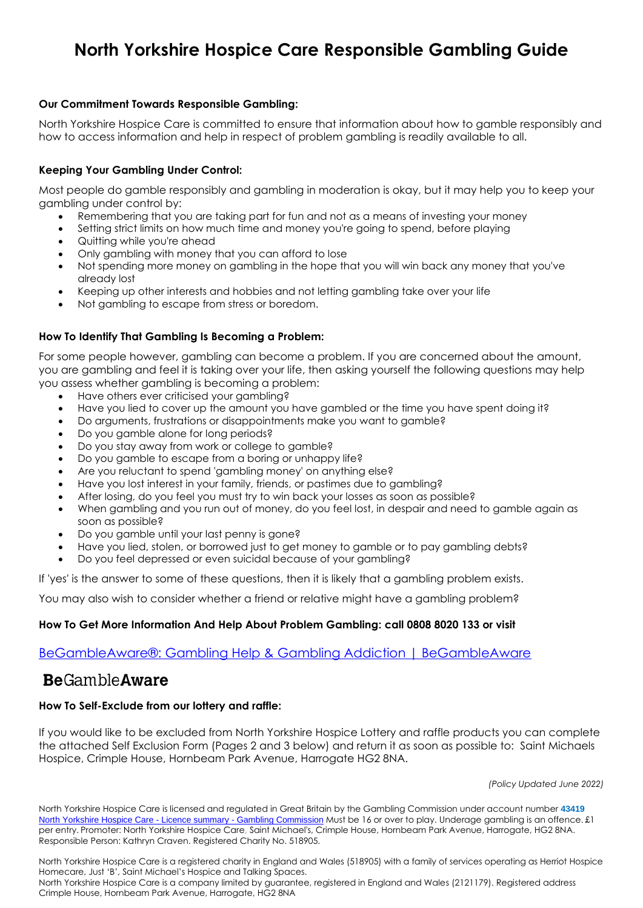# **North Yorkshire Hospice Care Responsible Gambling Guide**

## **Our Commitment Towards Responsible Gambling:**

North Yorkshire Hospice Care is committed to ensure that information about how to gamble responsibly and how to access information and help in respect of problem gambling is readily available to all.

## **Keeping Your Gambling Under Control:**

Most people do gamble responsibly and gambling in moderation is okay, but it may help you to keep your gambling under control by:

- Remembering that you are taking part for fun and not as a means of investing your money
- Setting strict limits on how much time and money you're going to spend, before playing
- Quitting while you're ahead
- Only gambling with money that you can afford to lose
- Not spending more money on gambling in the hope that you will win back any money that you've already lost
- Keeping up other interests and hobbies and not letting gambling take over your life
- Not gambling to escape from stress or boredom.

## **How To Identify That Gambling Is Becoming a Problem:**

For some people however, gambling can become a problem. If you are concerned about the amount, you are gambling and feel it is taking over your life, then asking yourself the following questions may help you assess whether gambling is becoming a problem:

- Have others ever criticised your gambling?
- Have you lied to cover up the amount you have gambled or the time you have spent doing it?
- Do arguments, frustrations or disappointments make you want to gamble?
- Do you gamble alone for long periods?
- Do you stay away from work or college to gamble?
- Do you gamble to escape from a boring or unhappy life?
- Are you reluctant to spend 'gambling money' on anything else?
- Have you lost interest in your family, friends, or pastimes due to gambling?
- After losing, do you feel you must try to win back your losses as soon as possible?
- When gambling and you run out of money, do you feel lost, in despair and need to gamble again as soon as possible?
- Do you gamble until your last penny is gone?
- Have you lied, stolen, or borrowed just to get money to gamble or to pay gambling debts?
- Do you feel depressed or even suicidal because of your gambling?

If 'yes' is the answer to some of these questions, then it is likely that a gambling problem exists.

You may also wish to consider whether a friend or relative might have a gambling problem?

#### **How To Get More Information And Help About Problem Gambling: call 0808 8020 133 or visit**

[BeGambleAware®: Gambling Help & Gambling Addiction | BeGambleAware](https://www.begambleaware.org/)

# **Be**GambleAware

#### **How To Self-Exclude from our lottery and raffle:**

If you would like to be excluded from North Yorkshire Hospice Lottery and raffle products you can complete the attached Self Exclusion Form (Pages 2 and 3 below) and return it as soon as possible to: Saint Michaels Hospice, Crimple House, Hornbeam Park Avenue, Harrogate HG2 8NA.

*(Policy Updated June 2022)*

North Yorkshire Hospice Care is licensed and regulated in Great Britain by the Gambling Commission under account number **43419** [North Yorkshire Hospice Care -](https://m365.eu.vadesecure.com/safeproxy/v4?f=F9jZ33XgMg6AcnGy3-JwLHyivfi4xphoAbRC0VSdeRZpmVH2YrRI4Btr7hIKA3ECma8KavD0rCZuuZCr_lQL6g&i=2ZKL3E6dxzKx1yiac4uaTxWrMpiOYG1uhFKoHERc2yZSG9EuKFFB0D8WekxJmol4LXaEQeF3iHZbbLcy4dOjUg&k=wbuP&r=UJ96_v9Tn25Jil2bb5MgP803oTaPiIYKo5AT3lEe8fLcc6oBrX4jbODlCaj4Uv0x8chck2aJgfOgsTjoQeCqHA&s=d9e4f1666418cf3d2eb0df807c4b788c3a1827c6b938f0e222506612bcc70f1c&u=https%3A%2F%2Fwww.gamblingcommission.gov.uk%2Fpublic-register%2Fbusiness%2Fdetail%2F43419) Licence summary - Gambling Commission</u> Must be 16 or over to play. Underage gambling is an offence. £1 per entry. Promoter: North Yorkshire Hospice Care**,** Saint Michael's, Crimple House, Hornbeam Park Avenue, Harrogate, HG2 8NA. Responsible Person: Kathryn Craven. Registered Charity No. 518905.

North Yorkshire Hospice Care is a registered charity in England and Wales (518905) with a family of services operating as Herriot Hospice Homecare, Just 'B', Saint Michael's Hospice and Talking Spaces.

North Yorkshire Hospice Care is a company limited by guarantee, registered in England and Wales (2121179). Registered address Crimple House, Hornbeam Park Avenue, Harrogate, HG2 8NA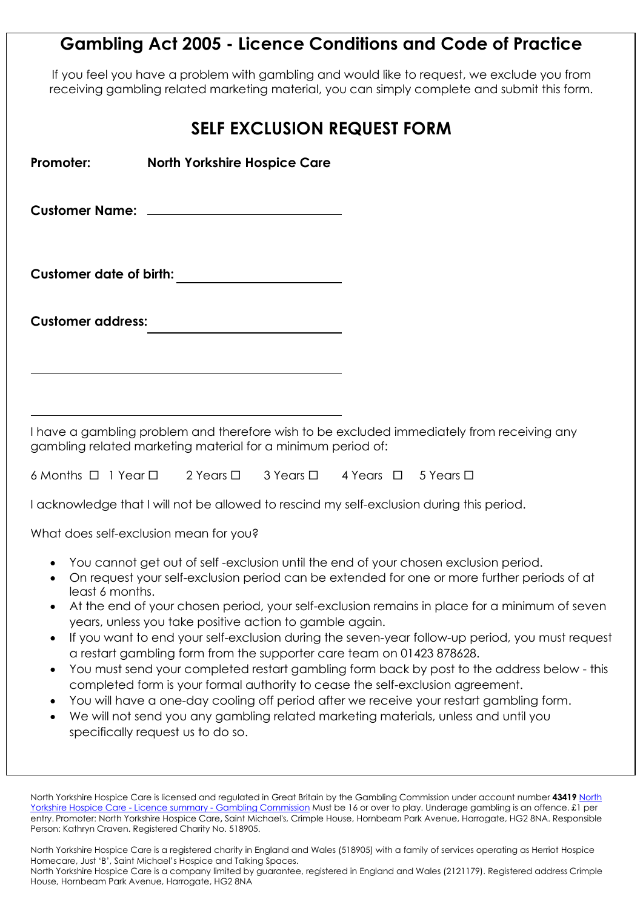# **Gambling Act 2005 - Licence Conditions and Code of Practice**

If you feel you have a problem with gambling and would like to request, we exclude you from receiving gambling related marketing material, you can simply complete and submit this form.

| <b>SELF EXCLUSION REQUEST FORM</b>                                                            |                                                                                                                                                                                                                                                                                                                                                                                                                                                                                                                                                                                                                                                                           |  |                                                                                                                                                                                                                                                                                                 |
|-----------------------------------------------------------------------------------------------|---------------------------------------------------------------------------------------------------------------------------------------------------------------------------------------------------------------------------------------------------------------------------------------------------------------------------------------------------------------------------------------------------------------------------------------------------------------------------------------------------------------------------------------------------------------------------------------------------------------------------------------------------------------------------|--|-------------------------------------------------------------------------------------------------------------------------------------------------------------------------------------------------------------------------------------------------------------------------------------------------|
| Promoter: www.com                                                                             | <b>North Yorkshire Hospice Care</b>                                                                                                                                                                                                                                                                                                                                                                                                                                                                                                                                                                                                                                       |  |                                                                                                                                                                                                                                                                                                 |
|                                                                                               |                                                                                                                                                                                                                                                                                                                                                                                                                                                                                                                                                                                                                                                                           |  |                                                                                                                                                                                                                                                                                                 |
|                                                                                               |                                                                                                                                                                                                                                                                                                                                                                                                                                                                                                                                                                                                                                                                           |  |                                                                                                                                                                                                                                                                                                 |
| <b>Customer address:</b>                                                                      |                                                                                                                                                                                                                                                                                                                                                                                                                                                                                                                                                                                                                                                                           |  |                                                                                                                                                                                                                                                                                                 |
|                                                                                               |                                                                                                                                                                                                                                                                                                                                                                                                                                                                                                                                                                                                                                                                           |  |                                                                                                                                                                                                                                                                                                 |
|                                                                                               | I have a gambling problem and therefore wish to be excluded immediately from receiving any<br>gambling related marketing material for a minimum period of:                                                                                                                                                                                                                                                                                                                                                                                                                                                                                                                |  |                                                                                                                                                                                                                                                                                                 |
|                                                                                               | 6 Months □ 1 Year □ 2 Years □ 3 Years □ 4 Years □ 5 Years □                                                                                                                                                                                                                                                                                                                                                                                                                                                                                                                                                                                                               |  |                                                                                                                                                                                                                                                                                                 |
|                                                                                               | I acknowledge that I will not be allowed to rescind my self-exclusion during this period.                                                                                                                                                                                                                                                                                                                                                                                                                                                                                                                                                                                 |  |                                                                                                                                                                                                                                                                                                 |
| $\bullet$<br>$\bullet$<br>least 6 months.<br>$\bullet$<br>$\bullet$<br>$\bullet$<br>$\bullet$ | What does self-exclusion mean for you?<br>You cannot get out of self-exclusion until the end of your chosen exclusion period.<br>On request your self-exclusion period can be extended for one or more further periods of at<br>years, unless you take positive action to gamble again.<br>a restart gambling form from the supporter care team on 01423 878628.<br>completed form is your formal authority to cease the self-exclusion agreement.<br>You will have a one-day cooling off period after we receive your restart gambling form.<br>We will not send you any gambling related marketing materials, unless and until you<br>specifically request us to do so. |  | At the end of your chosen period, your self-exclusion remains in place for a minimum of seven<br>If you want to end your self-exclusion during the seven-year follow-up period, you must request<br>You must send your completed restart gambling form back by post to the address below - this |

North Yorkshire Hospice Care is licensed and regulated in Great Britain by the Gambling Commission under account number **43419** [North](https://m365.eu.vadesecure.com/safeproxy/v4?f=F9jZ33XgMg6AcnGy3-JwLHyivfi4xphoAbRC0VSdeRZpmVH2YrRI4Btr7hIKA3ECma8KavD0rCZuuZCr_lQL6g&i=2ZKL3E6dxzKx1yiac4uaTxWrMpiOYG1uhFKoHERc2yZSG9EuKFFB0D8WekxJmol4LXaEQeF3iHZbbLcy4dOjUg&k=wbuP&r=UJ96_v9Tn25Jil2bb5MgP803oTaPiIYKo5AT3lEe8fLcc6oBrX4jbODlCaj4Uv0x8chck2aJgfOgsTjoQeCqHA&s=d9e4f1666418cf3d2eb0df807c4b788c3a1827c6b938f0e222506612bcc70f1c&u=https%3A%2F%2Fwww.gamblingcommission.gov.uk%2Fpublic-register%2Fbusiness%2Fdetail%2F43419)  [Yorkshire Hospice Care -](https://m365.eu.vadesecure.com/safeproxy/v4?f=F9jZ33XgMg6AcnGy3-JwLHyivfi4xphoAbRC0VSdeRZpmVH2YrRI4Btr7hIKA3ECma8KavD0rCZuuZCr_lQL6g&i=2ZKL3E6dxzKx1yiac4uaTxWrMpiOYG1uhFKoHERc2yZSG9EuKFFB0D8WekxJmol4LXaEQeF3iHZbbLcy4dOjUg&k=wbuP&r=UJ96_v9Tn25Jil2bb5MgP803oTaPiIYKo5AT3lEe8fLcc6oBrX4jbODlCaj4Uv0x8chck2aJgfOgsTjoQeCqHA&s=d9e4f1666418cf3d2eb0df807c4b788c3a1827c6b938f0e222506612bcc70f1c&u=https%3A%2F%2Fwww.gamblingcommission.gov.uk%2Fpublic-register%2Fbusiness%2Fdetail%2F43419) Licence summary - Gambling Commission Must be 16 or over to play. Underage gambling is an offence. £1 per entry. Promoter: North Yorkshire Hospice Care**,** Saint Michael's, Crimple House, Hornbeam Park Avenue, Harrogate, HG2 8NA. Responsible Person: Kathryn Craven. Registered Charity No. 518905.

North Yorkshire Hospice Care is a registered charity in England and Wales (518905) with a family of services operating as Herriot Hospice Homecare, Just 'B', Saint Michael's Hospice and Talking Spaces.

North Yorkshire Hospice Care is a company limited by guarantee, registered in England and Wales (2121179). Registered address Crimple House, Hornbeam Park Avenue, Harrogate, HG2 8NA